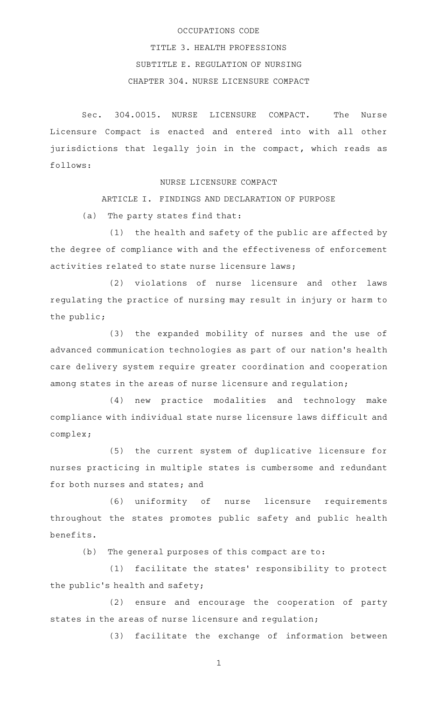#### OCCUPATIONS CODE

TITLE 3. HEALTH PROFESSIONS SUBTITLE E. REGULATION OF NURSING CHAPTER 304. NURSE LICENSURE COMPACT

Sec. 304.0015. NURSE LICENSURE COMPACT. The Nurse Licensure Compact is enacted and entered into with all other jurisdictions that legally join in the compact, which reads as follows:

NURSE LICENSURE COMPACT

ARTICLE I. FINDINGS AND DECLARATION OF PURPOSE

(a) The party states find that:

 $(1)$  the health and safety of the public are affected by the degree of compliance with and the effectiveness of enforcement activities related to state nurse licensure laws;

(2) violations of nurse licensure and other laws regulating the practice of nursing may result in injury or harm to the public;

(3) the expanded mobility of nurses and the use of advanced communication technologies as part of our nation 's health care delivery system require greater coordination and cooperation among states in the areas of nurse licensure and regulation;

(4) new practice modalities and technology make compliance with individual state nurse licensure laws difficult and complex;

(5) the current system of duplicative licensure for nurses practicing in multiple states is cumbersome and redundant for both nurses and states; and

(6) uniformity of nurse licensure requirements throughout the states promotes public safety and public health benefits.

(b) The general purposes of this compact are to:

(1) facilitate the states' responsibility to protect the public's health and safety;

(2) ensure and encourage the cooperation of party states in the areas of nurse licensure and regulation;

(3) facilitate the exchange of information between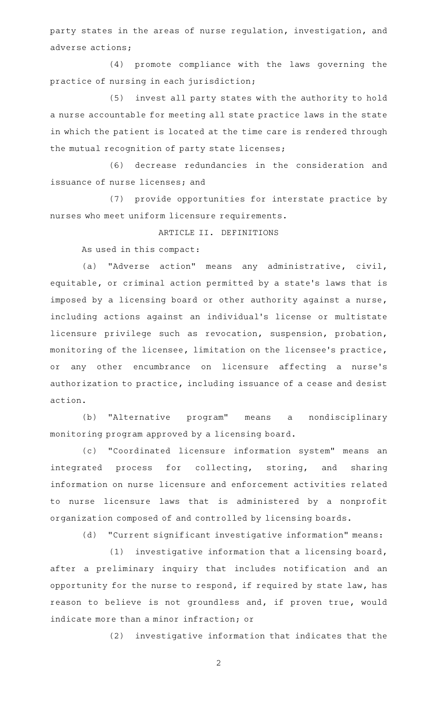party states in the areas of nurse regulation, investigation, and adverse actions;

(4) promote compliance with the laws governing the practice of nursing in each jurisdiction;

(5) invest all party states with the authority to hold a nurse accountable for meeting all state practice laws in the state in which the patient is located at the time care is rendered through the mutual recognition of party state licenses;

(6) decrease redundancies in the consideration and issuance of nurse licenses; and

(7) provide opportunities for interstate practice by nurses who meet uniform licensure requirements.

# ARTICLE II. DEFINITIONS

As used in this compact:

(a) "Adverse action" means any administrative, civil, equitable, or criminal action permitted by a state's laws that is imposed by a licensing board or other authority against a nurse, including actions against an individual 's license or multistate licensure privilege such as revocation, suspension, probation, monitoring of the licensee, limitation on the licensee 's practice, or any other encumbrance on licensure affecting a nurse 's authorization to practice, including issuance of a cease and desist action.

(b) "Alternative program" means a nondisciplinary monitoring program approved by a licensing board.

(c) "Coordinated licensure information system" means an integrated process for collecting, storing, and sharing information on nurse licensure and enforcement activities related to nurse licensure laws that is administered by a nonprofit organization composed of and controlled by licensing boards.

(d) "Current significant investigative information" means:

 $(1)$  investigative information that a licensing board, after a preliminary inquiry that includes notification and an opportunity for the nurse to respond, if required by state law, has reason to believe is not groundless and, if proven true, would indicate more than a minor infraction; or

(2) investigative information that indicates that the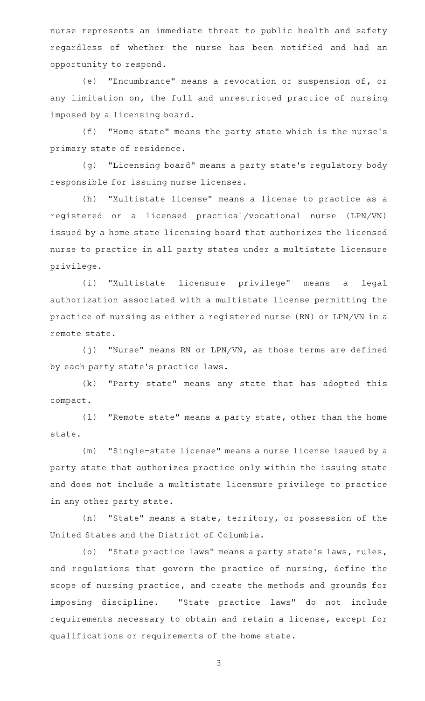nurse represents an immediate threat to public health and safety regardless of whether the nurse has been notified and had an opportunity to respond.

(e) "Encumbrance" means a revocation or suspension of, or any limitation on, the full and unrestricted practice of nursing imposed by a licensing board.

(f) "Home state" means the party state which is the nurse's primary state of residence.

(g) "Licensing board" means a party state's regulatory body responsible for issuing nurse licenses.

(h) "Multistate license" means a license to practice as a registered or a licensed practical/vocational nurse (LPN/VN) issued by a home state licensing board that authorizes the licensed nurse to practice in all party states under a multistate licensure privilege.

(i) "Multistate licensure privilege" means a legal authorization associated with a multistate license permitting the practice of nursing as either a registered nurse (RN) or LPN/VN in a remote state.

 $(j)$  "Nurse" means RN or LPN/VN, as those terms are defined by each party state 's practice laws.

(k) "Party state" means any state that has adopted this compact.

(1) "Remote state" means a party state, other than the home state.

(m) "Single-state license" means a nurse license issued by a party state that authorizes practice only within the issuing state and does not include a multistate licensure privilege to practice in any other party state.

 $(n)$  "State" means a state, territory, or possession of the United States and the District of Columbia.

(o) "State practice laws" means a party state's laws, rules, and regulations that govern the practice of nursing, define the scope of nursing practice, and create the methods and grounds for imposing discipline. "State practice laws" do not include requirements necessary to obtain and retain a license, except for qualifications or requirements of the home state.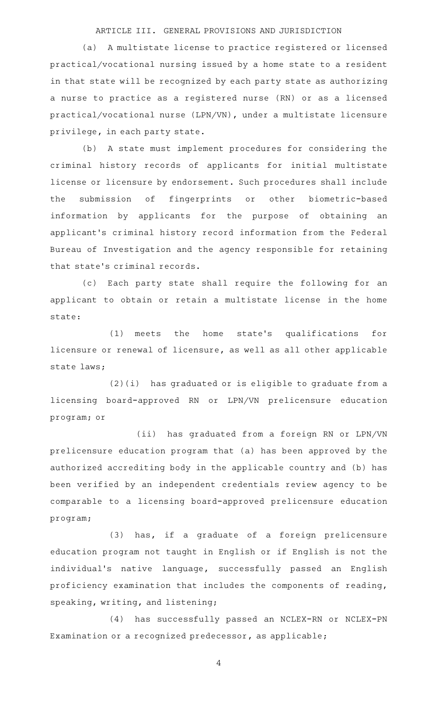### ARTICLE III. GENERAL PROVISIONS AND JURISDICTION

(a) A multistate license to practice registered or licensed practical/vocational nursing issued by a home state to a resident in that state will be recognized by each party state as authorizing a nurse to practice as a registered nurse (RN) or as a licensed practical/vocational nurse (LPN/VN), under a multistate licensure privilege, in each party state.

(b) A state must implement procedures for considering the criminal history records of applicants for initial multistate license or licensure by endorsement. Such procedures shall include the submission of fingerprints or other biometric-based information by applicants for the purpose of obtaining an applicant 's criminal history record information from the Federal Bureau of Investigation and the agency responsible for retaining that state 's criminal records.

(c) Each party state shall require the following for an applicant to obtain or retain a multistate license in the home state:

(1) meets the home state's qualifications for licensure or renewal of licensure, as well as all other applicable state laws;

 $(2)(i)$  has graduated or is eligible to graduate from a licensing board-approved RN or LPN/VN prelicensure education program; or

(ii) has graduated from a foreign RN or LPN/VN prelicensure education program that (a) has been approved by the authorized accrediting body in the applicable country and (b) has been verified by an independent credentials review agency to be comparable to a licensing board-approved prelicensure education program;

(3) has, if a graduate of a foreign prelicensure education program not taught in English or if English is not the individual's native language, successfully passed an English proficiency examination that includes the components of reading, speaking, writing, and listening;

(4) has successfully passed an NCLEX-RN or NCLEX-PN Examination or a recognized predecessor, as applicable;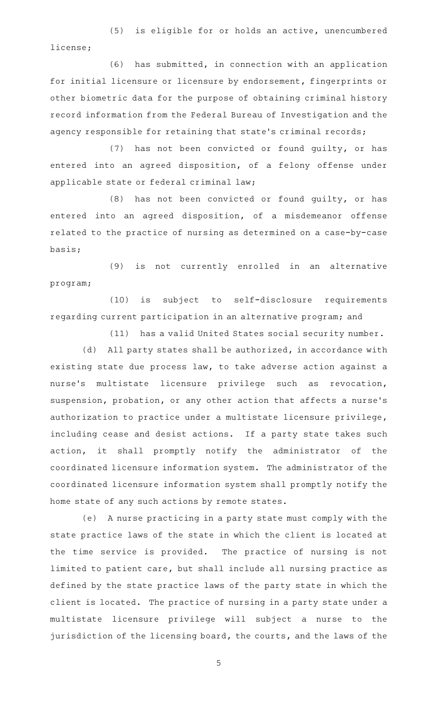(5) is eligible for or holds an active, unencumbered license;

(6) has submitted, in connection with an application for initial licensure or licensure by endorsement, fingerprints or other biometric data for the purpose of obtaining criminal history record information from the Federal Bureau of Investigation and the agency responsible for retaining that state 's criminal records;

(7) has not been convicted or found guilty, or has entered into an agreed disposition, of a felony offense under applicable state or federal criminal law;

 $(8)$  has not been convicted or found guilty, or has entered into an agreed disposition, of a misdemeanor offense related to the practice of nursing as determined on a case-by-case basis;

(9) is not currently enrolled in an alternative program;

(10) is subject to self-disclosure requirements regarding current participation in an alternative program; and

(11) has a valid United States social security number.

(d) All party states shall be authorized, in accordance with existing state due process law, to take adverse action against a nurse's multistate licensure privilege such as revocation, suspension, probation, or any other action that affects a nurse 's authorization to practice under a multistate licensure privilege, including cease and desist actions. If a party state takes such action, it shall promptly notify the administrator of the coordinated licensure information system. The administrator of the coordinated licensure information system shall promptly notify the home state of any such actions by remote states.

(e) A nurse practicing in a party state must comply with the state practice laws of the state in which the client is located at the time service is provided. The practice of nursing is not limited to patient care, but shall include all nursing practice as defined by the state practice laws of the party state in which the client is located. The practice of nursing in a party state under a multistate licensure privilege will subject a nurse to the jurisdiction of the licensing board, the courts, and the laws of the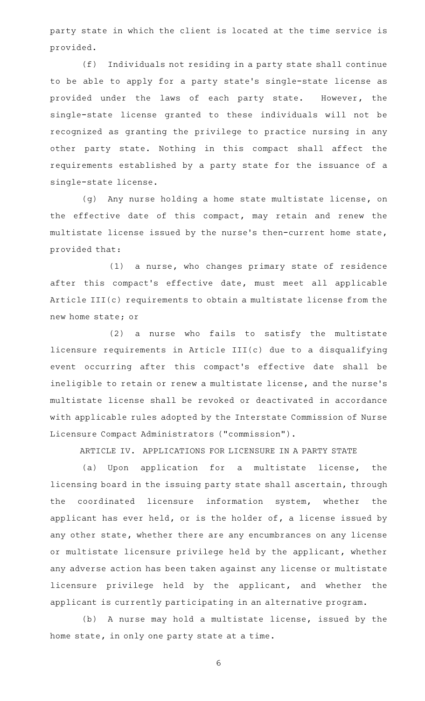party state in which the client is located at the time service is provided.

(f) Individuals not residing in a party state shall continue to be able to apply for a party state 's single-state license as provided under the laws of each party state. However, the single-state license granted to these individuals will not be recognized as granting the privilege to practice nursing in any other party state. Nothing in this compact shall affect the requirements established by a party state for the issuance of a single-state license.

(g) Any nurse holding a home state multistate license, on the effective date of this compact, may retain and renew the multistate license issued by the nurse 's then-current home state, provided that:

 $(1)$  a nurse, who changes primary state of residence after this compact 's effective date, must meet all applicable Article III(c) requirements to obtain a multistate license from the new home state; or

 $(2)$  a nurse who fails to satisfy the multistate licensure requirements in Article III(c) due to a disqualifying event occurring after this compact 's effective date shall be ineligible to retain or renew a multistate license, and the nurse 's multistate license shall be revoked or deactivated in accordance with applicable rules adopted by the Interstate Commission of Nurse Licensure Compact Administrators ("commission").

ARTICLE IV. APPLICATIONS FOR LICENSURE IN A PARTY STATE

(a) Upon application for a multistate license, the licensing board in the issuing party state shall ascertain, through the coordinated licensure information system, whether the applicant has ever held, or is the holder of, a license issued by any other state, whether there are any encumbrances on any license or multistate licensure privilege held by the applicant, whether any adverse action has been taken against any license or multistate licensure privilege held by the applicant, and whether the applicant is currently participating in an alternative program.

(b) A nurse may hold a multistate license, issued by the home state, in only one party state at a time.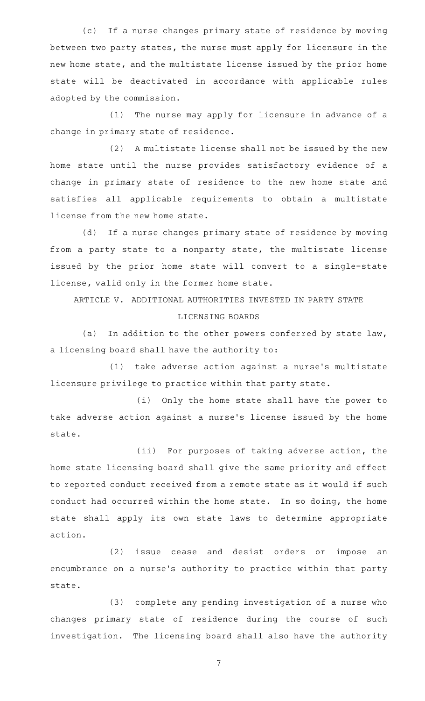(c) If a nurse changes primary state of residence by moving between two party states, the nurse must apply for licensure in the new home state, and the multistate license issued by the prior home state will be deactivated in accordance with applicable rules adopted by the commission.

(1) The nurse may apply for licensure in advance of a change in primary state of residence.

(2) A multistate license shall not be issued by the new home state until the nurse provides satisfactory evidence of a change in primary state of residence to the new home state and satisfies all applicable requirements to obtain a multistate license from the new home state.

(d) If a nurse changes primary state of residence by moving from a party state to a nonparty state, the multistate license issued by the prior home state will convert to a single-state license, valid only in the former home state.

ARTICLE V. ADDITIONAL AUTHORITIES INVESTED IN PARTY STATE

### LICENSING BOARDS

(a) In addition to the other powers conferred by state law, a licensing board shall have the authority to:

(1) take adverse action against a nurse's multistate licensure privilege to practice within that party state.

(i) Only the home state shall have the power to take adverse action against a nurse's license issued by the home state.

(ii) For purposes of taking adverse action, the home state licensing board shall give the same priority and effect to reported conduct received from a remote state as it would if such conduct had occurred within the home state. In so doing, the home state shall apply its own state laws to determine appropriate action.

(2) issue cease and desist orders or impose an encumbrance on a nurse's authority to practice within that party state.

(3) complete any pending investigation of a nurse who changes primary state of residence during the course of such investigation. The licensing board shall also have the authority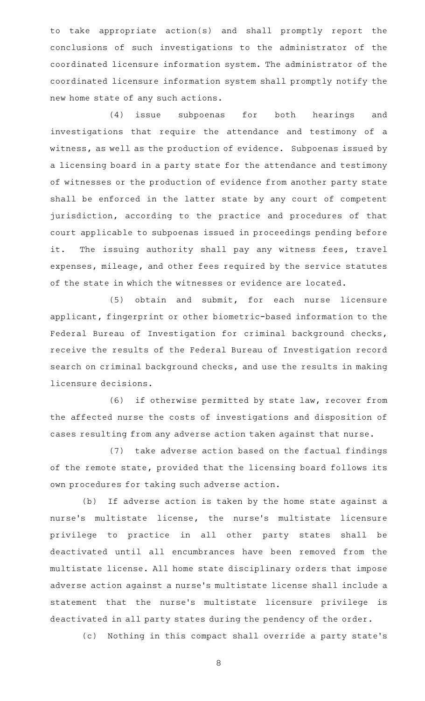to take appropriate action(s) and shall promptly report the conclusions of such investigations to the administrator of the coordinated licensure information system. The administrator of the coordinated licensure information system shall promptly notify the new home state of any such actions.

(4) issue subpoenas for both hearings and investigations that require the attendance and testimony of a witness, as well as the production of evidence. Subpoenas issued by a licensing board in a party state for the attendance and testimony of witnesses or the production of evidence from another party state shall be enforced in the latter state by any court of competent jurisdiction, according to the practice and procedures of that court applicable to subpoenas issued in proceedings pending before it. The issuing authority shall pay any witness fees, travel expenses, mileage, and other fees required by the service statutes of the state in which the witnesses or evidence are located.

(5) obtain and submit, for each nurse licensure applicant, fingerprint or other biometric-based information to the Federal Bureau of Investigation for criminal background checks, receive the results of the Federal Bureau of Investigation record search on criminal background checks, and use the results in making licensure decisions.

(6) if otherwise permitted by state law, recover from the affected nurse the costs of investigations and disposition of cases resulting from any adverse action taken against that nurse.

(7) take adverse action based on the factual findings of the remote state, provided that the licensing board follows its own procedures for taking such adverse action.

(b) If adverse action is taken by the home state against a nurse's multistate license, the nurse's multistate licensure privilege to practice in all other party states shall be deactivated until all encumbrances have been removed from the multistate license. All home state disciplinary orders that impose adverse action against a nurse 's multistate license shall include a statement that the nurse's multistate licensure privilege is deactivated in all party states during the pendency of the order.

(c) Nothing in this compact shall override a party state's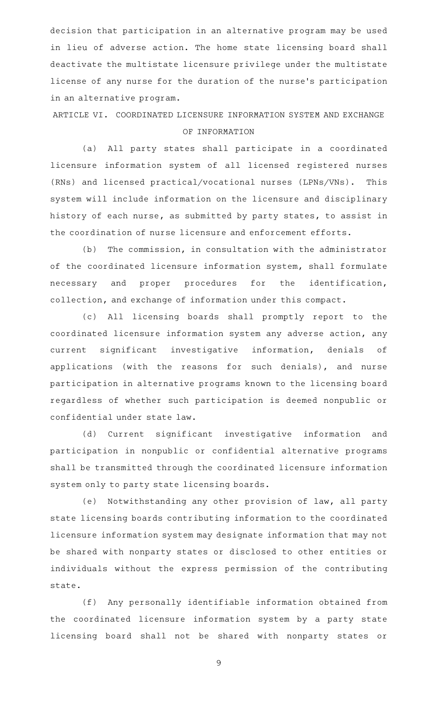decision that participation in an alternative program may be used in lieu of adverse action. The home state licensing board shall deactivate the multistate licensure privilege under the multistate license of any nurse for the duration of the nurse 's participation in an alternative program.

ARTICLE VI. COORDINATED LICENSURE INFORMATION SYSTEM AND EXCHANGE OF INFORMATION

(a) All party states shall participate in a coordinated licensure information system of all licensed registered nurses (RNs) and licensed practical/vocational nurses (LPNs/VNs). This system will include information on the licensure and disciplinary history of each nurse, as submitted by party states, to assist in the coordination of nurse licensure and enforcement efforts.

(b) The commission, in consultation with the administrator of the coordinated licensure information system, shall formulate necessary and proper procedures for the identification, collection, and exchange of information under this compact.

(c) All licensing boards shall promptly report to the coordinated licensure information system any adverse action, any current significant investigative information, denials of applications (with the reasons for such denials), and nurse participation in alternative programs known to the licensing board regardless of whether such participation is deemed nonpublic or confidential under state law.

(d) Current significant investigative information and participation in nonpublic or confidential alternative programs shall be transmitted through the coordinated licensure information system only to party state licensing boards.

(e) Notwithstanding any other provision of law, all party state licensing boards contributing information to the coordinated licensure information system may designate information that may not be shared with nonparty states or disclosed to other entities or individuals without the express permission of the contributing state.

(f) Any personally identifiable information obtained from the coordinated licensure information system by a party state licensing board shall not be shared with nonparty states or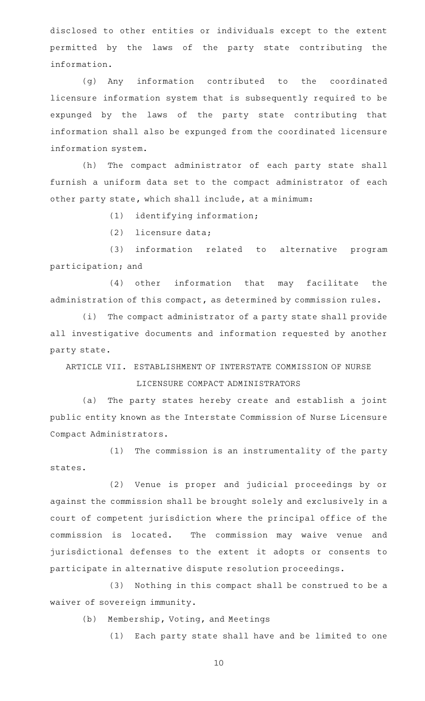disclosed to other entities or individuals except to the extent permitted by the laws of the party state contributing the information.

(g) Any information contributed to the coordinated licensure information system that is subsequently required to be expunged by the laws of the party state contributing that information shall also be expunged from the coordinated licensure information system.

(h) The compact administrator of each party state shall furnish a uniform data set to the compact administrator of each other party state, which shall include, at a minimum:

(1) identifying information;

 $(2)$  licensure data;

(3) information related to alternative program participation; and

 $(4)$  other information that may facilitate the administration of this compact, as determined by commission rules.

(i) The compact administrator of a party state shall provide all investigative documents and information requested by another party state.

ARTICLE VII. ESTABLISHMENT OF INTERSTATE COMMISSION OF NURSE LICENSURE COMPACT ADMINISTRATORS

(a) The party states hereby create and establish a joint public entity known as the Interstate Commission of Nurse Licensure Compact Administrators.

(1) The commission is an instrumentality of the party states.

(2) Venue is proper and judicial proceedings by or against the commission shall be brought solely and exclusively in a court of competent jurisdiction where the principal office of the commission is located. The commission may waive venue and jurisdictional defenses to the extent it adopts or consents to participate in alternative dispute resolution proceedings.

(3) Nothing in this compact shall be construed to be a waiver of sovereign immunity.

(b) Membership, Voting, and Meetings

(1) Each party state shall have and be limited to one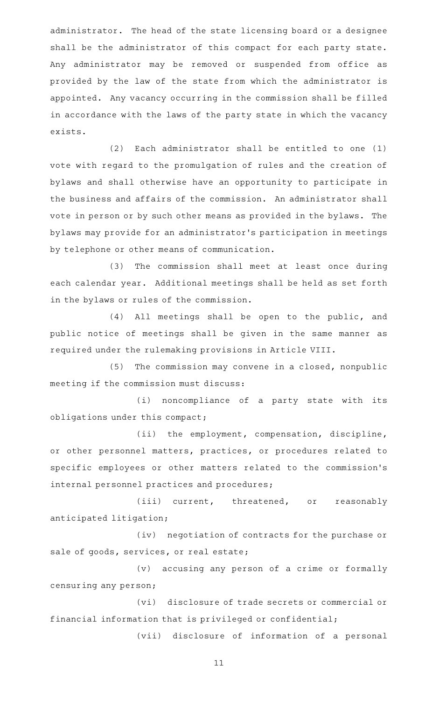administrator. The head of the state licensing board or a designee shall be the administrator of this compact for each party state. Any administrator may be removed or suspended from office as provided by the law of the state from which the administrator is appointed. Any vacancy occurring in the commission shall be filled in accordance with the laws of the party state in which the vacancy exists.

 $(2)$  Each administrator shall be entitled to one  $(1)$ vote with regard to the promulgation of rules and the creation of bylaws and shall otherwise have an opportunity to participate in the business and affairs of the commission. An administrator shall vote in person or by such other means as provided in the bylaws. The bylaws may provide for an administrator 's participation in meetings by telephone or other means of communication.

(3) The commission shall meet at least once during each calendar year. Additional meetings shall be held as set forth in the bylaws or rules of the commission.

(4) All meetings shall be open to the public, and public notice of meetings shall be given in the same manner as required under the rulemaking provisions in Article VIII.

 $(5)$  The commission may convene in a closed, nonpublic meeting if the commission must discuss:

(i) noncompliance of a party state with its obligations under this compact;

(ii) the employment, compensation, discipline, or other personnel matters, practices, or procedures related to specific employees or other matters related to the commission 's internal personnel practices and procedures;

(iii) current, threatened, or reasonably anticipated litigation;

(iv) negotiation of contracts for the purchase or sale of goods, services, or real estate;

(v) accusing any person of a crime or formally censuring any person;

(vi) disclosure of trade secrets or commercial or financial information that is privileged or confidential;

(vii) disclosure of information of a personal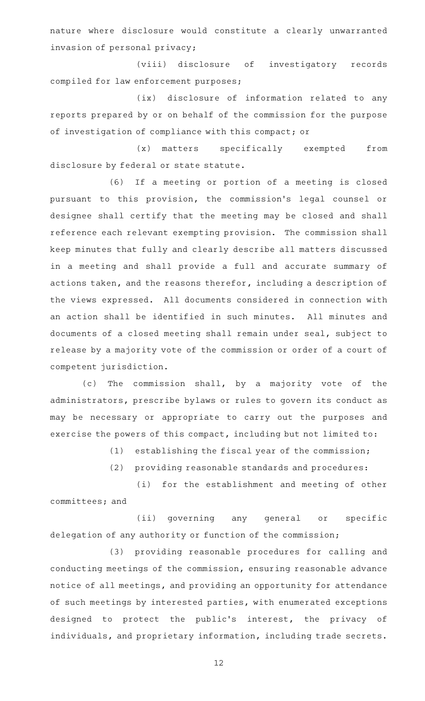nature where disclosure would constitute a clearly unwarranted invasion of personal privacy;

(viii) disclosure of investigatory records compiled for law enforcement purposes;

(ix) disclosure of information related to any reports prepared by or on behalf of the commission for the purpose of investigation of compliance with this compact; or

(x) matters specifically exempted from disclosure by federal or state statute.

(6) If a meeting or portion of a meeting is closed pursuant to this provision, the commission 's legal counsel or designee shall certify that the meeting may be closed and shall reference each relevant exempting provision. The commission shall keep minutes that fully and clearly describe all matters discussed in a meeting and shall provide a full and accurate summary of actions taken, and the reasons therefor, including a description of the views expressed. All documents considered in connection with an action shall be identified in such minutes. All minutes and documents of a closed meeting shall remain under seal, subject to release by a majority vote of the commission or order of a court of competent jurisdiction.

(c) The commission shall, by a majority vote of the administrators, prescribe bylaws or rules to govern its conduct as may be necessary or appropriate to carry out the purposes and exercise the powers of this compact, including but not limited to:

(1) establishing the fiscal year of the commission;

(2) providing reasonable standards and procedures:

(i) for the establishment and meeting of other committees; and

(ii) governing any general or specific delegation of any authority or function of the commission;

(3) providing reasonable procedures for calling and conducting meetings of the commission, ensuring reasonable advance notice of all meetings, and providing an opportunity for attendance of such meetings by interested parties, with enumerated exceptions designed to protect the public's interest, the privacy of individuals, and proprietary information, including trade secrets.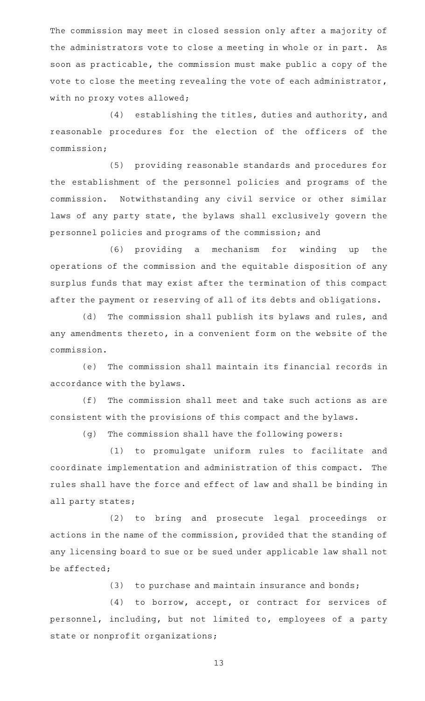The commission may meet in closed session only after a majority of the administrators vote to close a meeting in whole or in part. As soon as practicable, the commission must make public a copy of the vote to close the meeting revealing the vote of each administrator, with no proxy votes allowed;

(4) establishing the titles, duties and authority, and reasonable procedures for the election of the officers of the commission;

(5) providing reasonable standards and procedures for the establishment of the personnel policies and programs of the commission. Notwithstanding any civil service or other similar laws of any party state, the bylaws shall exclusively govern the personnel policies and programs of the commission; and

(6) providing a mechanism for winding up the operations of the commission and the equitable disposition of any surplus funds that may exist after the termination of this compact after the payment or reserving of all of its debts and obligations.

(d) The commission shall publish its bylaws and rules, and any amendments thereto, in a convenient form on the website of the commission.

(e) The commission shall maintain its financial records in accordance with the bylaws.

(f) The commission shall meet and take such actions as are consistent with the provisions of this compact and the bylaws.

(g) The commission shall have the following powers:

(1) to promulgate uniform rules to facilitate and coordinate implementation and administration of this compact. The rules shall have the force and effect of law and shall be binding in all party states;

(2) to bring and prosecute legal proceedings or actions in the name of the commission, provided that the standing of any licensing board to sue or be sued under applicable law shall not be affected;

 $(3)$  to purchase and maintain insurance and bonds;

(4) to borrow, accept, or contract for services of personnel, including, but not limited to, employees of a party state or nonprofit organizations;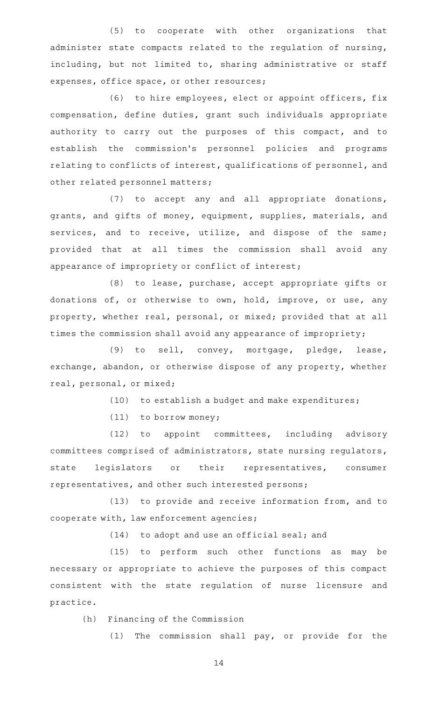(5) to cooperate with other organizations that administer state compacts related to the regulation of nursing, including, but not limited to, sharing administrative or staff expenses, office space, or other resources;

(6) to hire employees, elect or appoint officers, fix compensation, define duties, grant such individuals appropriate authority to carry out the purposes of this compact, and to establish the commission's personnel policies and programs relating to conflicts of interest, qualifications of personnel, and other related personnel matters;

 $(7)$  to accept any and all appropriate donations, grants, and gifts of money, equipment, supplies, materials, and services, and to receive, utilize, and dispose of the same; provided that at all times the commission shall avoid any appearance of impropriety or conflict of interest;

(8) to lease, purchase, accept appropriate gifts or donations of, or otherwise to own, hold, improve, or use, any property, whether real, personal, or mixed; provided that at all times the commission shall avoid any appearance of impropriety;

(9) to sell, convey, mortgage, pledge, lease, exchange, abandon, or otherwise dispose of any property, whether real, personal, or mixed;

(10) to establish a budget and make expenditures;

 $(11)$  to borrow money;

 $(12)$  to appoint committees, including advisory committees comprised of administrators, state nursing regulators, state legislators or their representatives, consumer representatives, and other such interested persons;

(13) to provide and receive information from, and to cooperate with, law enforcement agencies;

 $(14)$  to adopt and use an official seal; and

(15) to perform such other functions as may be necessary or appropriate to achieve the purposes of this compact consistent with the state regulation of nurse licensure and practice.

(h) Financing of the Commission

 $(1)$  The commission shall pay, or provide for the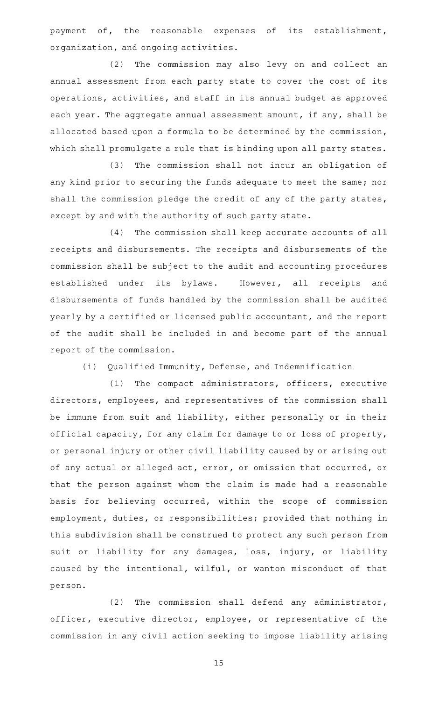payment of, the reasonable expenses of its establishment, organization, and ongoing activities.

(2) The commission may also levy on and collect an annual assessment from each party state to cover the cost of its operations, activities, and staff in its annual budget as approved each year. The aggregate annual assessment amount, if any, shall be allocated based upon a formula to be determined by the commission, which shall promulgate a rule that is binding upon all party states.

(3) The commission shall not incur an obligation of any kind prior to securing the funds adequate to meet the same; nor shall the commission pledge the credit of any of the party states, except by and with the authority of such party state.

(4) The commission shall keep accurate accounts of all receipts and disbursements. The receipts and disbursements of the commission shall be subject to the audit and accounting procedures established under its bylaws. However, all receipts and disbursements of funds handled by the commission shall be audited yearly by a certified or licensed public accountant, and the report of the audit shall be included in and become part of the annual report of the commission.

(i) Qualified Immunity, Defense, and Indemnification

(1) The compact administrators, officers, executive directors, employees, and representatives of the commission shall be immune from suit and liability, either personally or in their official capacity, for any claim for damage to or loss of property, or personal injury or other civil liability caused by or arising out of any actual or alleged act, error, or omission that occurred, or that the person against whom the claim is made had a reasonable basis for believing occurred, within the scope of commission employment, duties, or responsibilities; provided that nothing in this subdivision shall be construed to protect any such person from suit or liability for any damages, loss, injury, or liability caused by the intentional, wilful, or wanton misconduct of that person.

 $(2)$  The commission shall defend any administrator, officer, executive director, employee, or representative of the commission in any civil action seeking to impose liability arising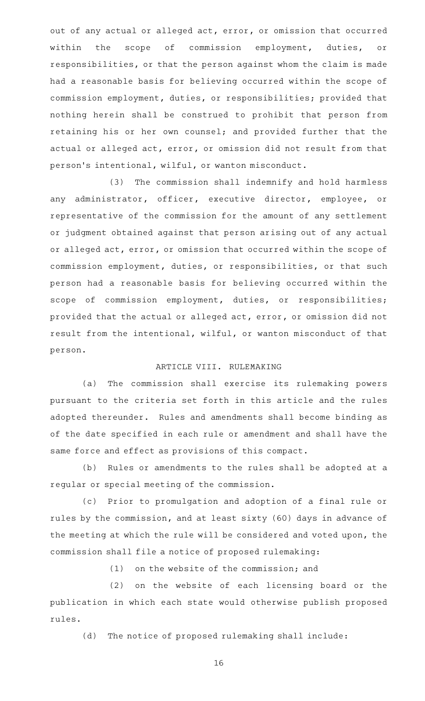out of any actual or alleged act, error, or omission that occurred within the scope of commission employment, duties, or responsibilities, or that the person against whom the claim is made had a reasonable basis for believing occurred within the scope of commission employment, duties, or responsibilities; provided that nothing herein shall be construed to prohibit that person from retaining his or her own counsel; and provided further that the actual or alleged act, error, or omission did not result from that person 's intentional, wilful, or wanton misconduct.

(3) The commission shall indemnify and hold harmless any administrator, officer, executive director, employee, or representative of the commission for the amount of any settlement or judgment obtained against that person arising out of any actual or alleged act, error, or omission that occurred within the scope of commission employment, duties, or responsibilities, or that such person had a reasonable basis for believing occurred within the scope of commission employment, duties, or responsibilities; provided that the actual or alleged act, error, or omission did not result from the intentional, wilful, or wanton misconduct of that person.

### ARTICLE VIII. RULEMAKING

(a) The commission shall exercise its rulemaking powers pursuant to the criteria set forth in this article and the rules adopted thereunder. Rules and amendments shall become binding as of the date specified in each rule or amendment and shall have the same force and effect as provisions of this compact.

(b) Rules or amendments to the rules shall be adopted at a regular or special meeting of the commission.

(c) Prior to promulgation and adoption of a final rule or rules by the commission, and at least sixty (60) days in advance of the meeting at which the rule will be considered and voted upon, the commission shall file a notice of proposed rulemaking:

 $(1)$  on the website of the commission; and

(2) on the website of each licensing board or the publication in which each state would otherwise publish proposed rules.

(d) The notice of proposed rulemaking shall include: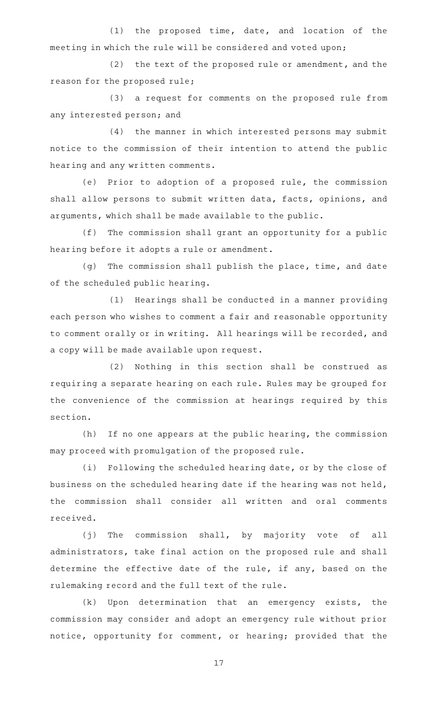$(1)$  the proposed time, date, and location of the meeting in which the rule will be considered and voted upon;

(2) the text of the proposed rule or amendment, and the reason for the proposed rule;

(3) a request for comments on the proposed rule from any interested person; and

(4) the manner in which interested persons may submit notice to the commission of their intention to attend the public hearing and any written comments.

(e) Prior to adoption of a proposed rule, the commission shall allow persons to submit written data, facts, opinions, and arguments, which shall be made available to the public.

(f) The commission shall grant an opportunity for a public hearing before it adopts a rule or amendment.

(g) The commission shall publish the place, time, and date of the scheduled public hearing.

(1) Hearings shall be conducted in a manner providing each person who wishes to comment a fair and reasonable opportunity to comment orally or in writing. All hearings will be recorded, and a copy will be made available upon request.

(2) Nothing in this section shall be construed as requiring a separate hearing on each rule. Rules may be grouped for the convenience of the commission at hearings required by this section.

(h) If no one appears at the public hearing, the commission may proceed with promulgation of the proposed rule.

(i) Following the scheduled hearing date, or by the close of business on the scheduled hearing date if the hearing was not held, the commission shall consider all written and oral comments received.

(j) The commission shall, by majority vote of all administrators, take final action on the proposed rule and shall determine the effective date of the rule, if any, based on the rulemaking record and the full text of the rule.

 $(k)$  Upon determination that an emergency exists, the commission may consider and adopt an emergency rule without prior notice, opportunity for comment, or hearing; provided that the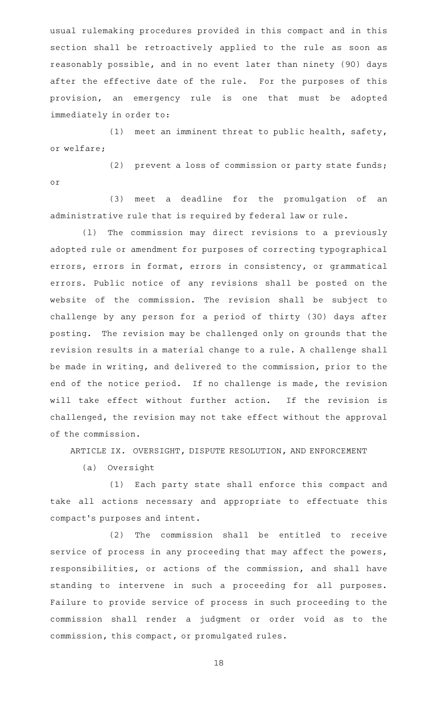usual rulemaking procedures provided in this compact and in this section shall be retroactively applied to the rule as soon as reasonably possible, and in no event later than ninety (90) days after the effective date of the rule. For the purposes of this provision, an emergency rule is one that must be adopted immediately in order to:

 $(1)$  meet an imminent threat to public health, safety, or welfare;

(2) prevent a loss of commission or party state funds; or

(3) meet a deadline for the promulgation of an administrative rule that is required by federal law or rule.

(1) The commission may direct revisions to a previously adopted rule or amendment for purposes of correcting typographical errors, errors in format, errors in consistency, or grammatical errors. Public notice of any revisions shall be posted on the website of the commission. The revision shall be subject to challenge by any person for a period of thirty (30) days after posting. The revision may be challenged only on grounds that the revision results in a material change to a rule. A challenge shall be made in writing, and delivered to the commission, prior to the end of the notice period. If no challenge is made, the revision will take effect without further action. If the revision is challenged, the revision may not take effect without the approval of the commission.

ARTICLE IX. OVERSIGHT, DISPUTE RESOLUTION, AND ENFORCEMENT

(a) Oversight

(1) Each party state shall enforce this compact and take all actions necessary and appropriate to effectuate this compact 's purposes and intent.

(2) The commission shall be entitled to receive service of process in any proceeding that may affect the powers, responsibilities, or actions of the commission, and shall have standing to intervene in such a proceeding for all purposes. Failure to provide service of process in such proceeding to the commission shall render a judgment or order void as to the commission, this compact, or promulgated rules.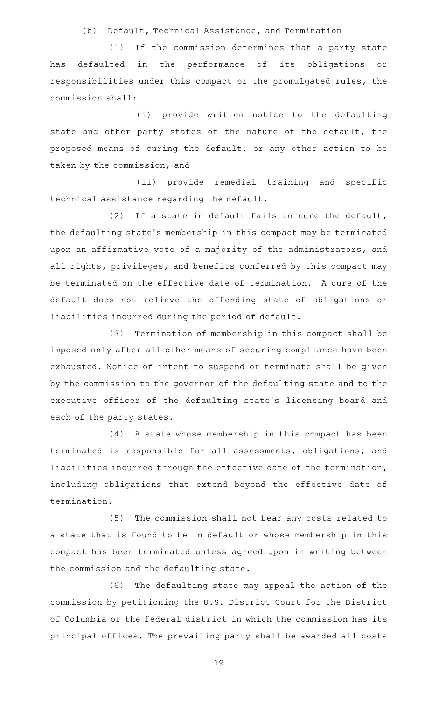(b) Default, Technical Assistance, and Termination

(1) If the commission determines that a party state has defaulted in the performance of its obligations or responsibilities under this compact or the promulgated rules, the commission shall:

(i) provide written notice to the defaulting state and other party states of the nature of the default, the proposed means of curing the default, or any other action to be taken by the commission; and

(ii) provide remedial training and specific technical assistance regarding the default.

(2) If a state in default fails to cure the default, the defaulting state 's membership in this compact may be terminated upon an affirmative vote of a majority of the administrators, and all rights, privileges, and benefits conferred by this compact may be terminated on the effective date of termination. A cure of the default does not relieve the offending state of obligations or liabilities incurred during the period of default.

(3) Termination of membership in this compact shall be imposed only after all other means of securing compliance have been exhausted. Notice of intent to suspend or terminate shall be given by the commission to the governor of the defaulting state and to the executive officer of the defaulting state 's licensing board and each of the party states.

(4) A state whose membership in this compact has been terminated is responsible for all assessments, obligations, and liabilities incurred through the effective date of the termination, including obligations that extend beyond the effective date of termination.

(5) The commission shall not bear any costs related to a state that is found to be in default or whose membership in this compact has been terminated unless agreed upon in writing between the commission and the defaulting state.

(6) The defaulting state may appeal the action of the commission by petitioning the U.S. District Court for the District of Columbia or the federal district in which the commission has its principal offices. The prevailing party shall be awarded all costs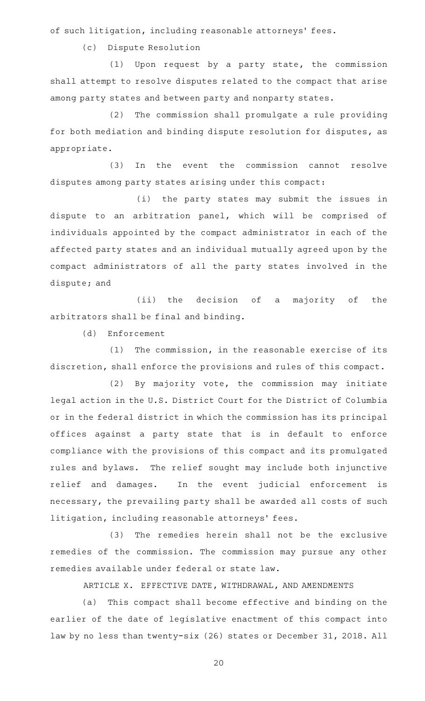of such litigation, including reasonable attorneys' fees.

(c) Dispute Resolution

 $(1)$  Upon request by a party state, the commission shall attempt to resolve disputes related to the compact that arise among party states and between party and nonparty states.

(2) The commission shall promulgate a rule providing for both mediation and binding dispute resolution for disputes, as appropriate.

(3) In the event the commission cannot resolve disputes among party states arising under this compact:

(i) the party states may submit the issues in dispute to an arbitration panel, which will be comprised of individuals appointed by the compact administrator in each of the affected party states and an individual mutually agreed upon by the compact administrators of all the party states involved in the dispute; and

(ii) the decision of a majority of the arbitrators shall be final and binding.

(d) Enforcement

(1) The commission, in the reasonable exercise of its discretion, shall enforce the provisions and rules of this compact.

 $(2)$  By majority vote, the commission may initiate legal action in the U.S. District Court for the District of Columbia or in the federal district in which the commission has its principal offices against a party state that is in default to enforce compliance with the provisions of this compact and its promulgated rules and bylaws. The relief sought may include both injunctive relief and damages. In the event judicial enforcement is necessary, the prevailing party shall be awarded all costs of such litigation, including reasonable attorneys' fees.

(3) The remedies herein shall not be the exclusive remedies of the commission. The commission may pursue any other remedies available under federal or state law.

ARTICLE X. EFFECTIVE DATE, WITHDRAWAL, AND AMENDMENTS

(a) This compact shall become effective and binding on the earlier of the date of legislative enactment of this compact into law by no less than twenty-six (26) states or December 31, 2018. All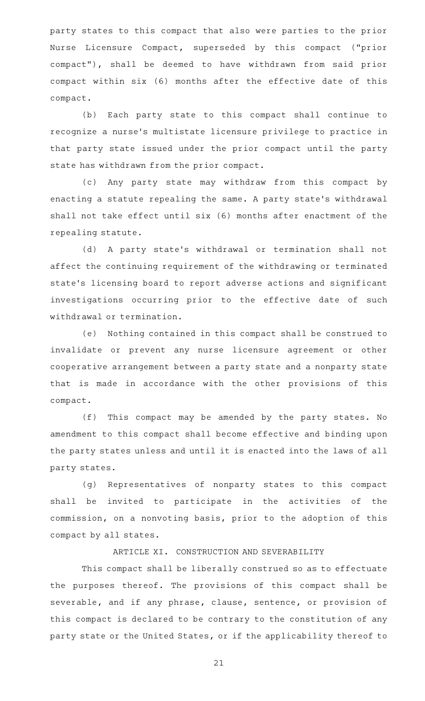party states to this compact that also were parties to the prior Nurse Licensure Compact, superseded by this compact ("prior compact"), shall be deemed to have withdrawn from said prior compact within six (6) months after the effective date of this compact.

(b) Each party state to this compact shall continue to recognize a nurse's multistate licensure privilege to practice in that party state issued under the prior compact until the party state has withdrawn from the prior compact.

(c)AAAny party state may withdraw from this compact by enacting a statute repealing the same. A party state 's withdrawal shall not take effect until six (6) months after enactment of the repealing statute.

(d) A party state's withdrawal or termination shall not affect the continuing requirement of the withdrawing or terminated state 's licensing board to report adverse actions and significant investigations occurring prior to the effective date of such withdrawal or termination.

(e) Nothing contained in this compact shall be construed to invalidate or prevent any nurse licensure agreement or other cooperative arrangement between a party state and a nonparty state that is made in accordance with the other provisions of this compact.

(f) This compact may be amended by the party states. No amendment to this compact shall become effective and binding upon the party states unless and until it is enacted into the laws of all party states.

(g) Representatives of nonparty states to this compact shall be invited to participate in the activities of the commission, on a nonvoting basis, prior to the adoption of this compact by all states.

### ARTICLE XI. CONSTRUCTION AND SEVERABILITY

This compact shall be liberally construed so as to effectuate the purposes thereof. The provisions of this compact shall be severable, and if any phrase, clause, sentence, or provision of this compact is declared to be contrary to the constitution of any party state or the United States, or if the applicability thereof to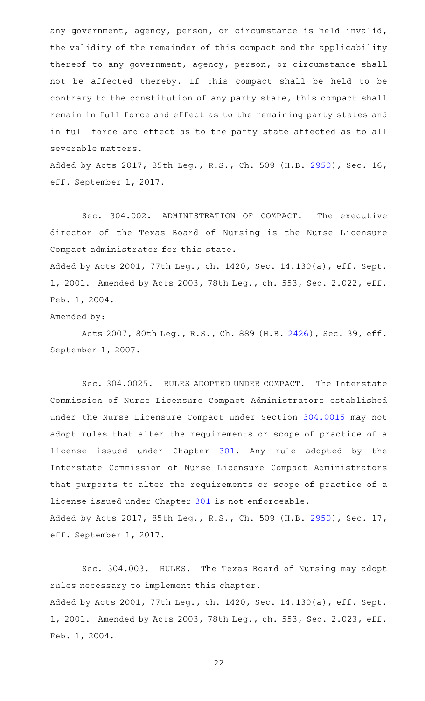any government, agency, person, or circumstance is held invalid, the validity of the remainder of this compact and the applicability thereof to any government, agency, person, or circumstance shall not be affected thereby. If this compact shall be held to be contrary to the constitution of any party state, this compact shall remain in full force and effect as to the remaining party states and in full force and effect as to the party state affected as to all severable matters.

Added by Acts 2017, 85th Leg., R.S., Ch. 509 (H.B. [2950\)](http://www.legis.state.tx.us/tlodocs/85R/billtext/html/HB02950F.HTM), Sec. 16, eff. September 1, 2017.

Sec. 304.002. ADMINISTRATION OF COMPACT. The executive director of the Texas Board of Nursing is the Nurse Licensure Compact administrator for this state.

Added by Acts 2001, 77th Leg., ch. 1420, Sec. 14.130(a), eff. Sept. 1, 2001. Amended by Acts 2003, 78th Leg., ch. 553, Sec. 2.022, eff. Feb. 1, 2004.

Amended by:

Acts 2007, 80th Leg., R.S., Ch. 889 (H.B. [2426\)](http://www.legis.state.tx.us/tlodocs/80R/billtext/html/HB02426F.HTM), Sec. 39, eff. September 1, 2007.

Sec. 304.0025. RULES ADOPTED UNDER COMPACT. The Interstate Commission of Nurse Licensure Compact Administrators established under the Nurse Licensure Compact under Section [304.0015](http://www.statutes.legis.state.tx.us/GetStatute.aspx?Code=OC&Value=304.0015) may not adopt rules that alter the requirements or scope of practice of a license issued under Chapter [301](http://www.statutes.legis.state.tx.us/GetStatute.aspx?Code=OC&Value=301). Any rule adopted by the Interstate Commission of Nurse Licensure Compact Administrators that purports to alter the requirements or scope of practice of a license issued under Chapter [301](http://www.statutes.legis.state.tx.us/GetStatute.aspx?Code=OC&Value=301) is not enforceable. Added by Acts 2017, 85th Leg., R.S., Ch. 509 (H.B. [2950\)](http://www.legis.state.tx.us/tlodocs/85R/billtext/html/HB02950F.HTM), Sec. 17, eff. September 1, 2017.

Sec. 304.003. RULES. The Texas Board of Nursing may adopt rules necessary to implement this chapter. Added by Acts 2001, 77th Leg., ch. 1420, Sec. 14.130(a), eff. Sept. 1, 2001. Amended by Acts 2003, 78th Leg., ch. 553, Sec. 2.023, eff. Feb. 1, 2004.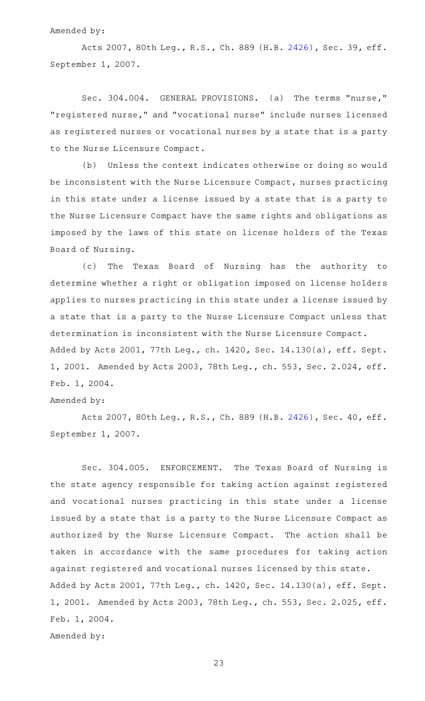#### Amended by:

Acts 2007, 80th Leg., R.S., Ch. 889 (H.B. [2426\)](http://www.legis.state.tx.us/tlodocs/80R/billtext/html/HB02426F.HTM), Sec. 39, eff. September 1, 2007.

Sec. 304.004. GENERAL PROVISIONS. (a) The terms "nurse," "registered nurse," and "vocational nurse" include nurses licensed as registered nurses or vocational nurses by a state that is a party to the Nurse Licensure Compact.

(b) Unless the context indicates otherwise or doing so would be inconsistent with the Nurse Licensure Compact, nurses practicing in this state under a license issued by a state that is a party to the Nurse Licensure Compact have the same rights and obligations as imposed by the laws of this state on license holders of the Texas Board of Nursing.

(c) The Texas Board of Nursing has the authority to determine whether a right or obligation imposed on license holders applies to nurses practicing in this state under a license issued by a state that is a party to the Nurse Licensure Compact unless that determination is inconsistent with the Nurse Licensure Compact. Added by Acts 2001, 77th Leg., ch. 1420, Sec. 14.130(a), eff. Sept. 1, 2001. Amended by Acts 2003, 78th Leg., ch. 553, Sec. 2.024, eff. Feb. 1, 2004.

### Amended by:

Acts 2007, 80th Leg., R.S., Ch. 889 (H.B. [2426\)](http://www.legis.state.tx.us/tlodocs/80R/billtext/html/HB02426F.HTM), Sec. 40, eff. September 1, 2007.

Sec. 304.005. ENFORCEMENT. The Texas Board of Nursing is the state agency responsible for taking action against registered and vocational nurses practicing in this state under a license issued by a state that is a party to the Nurse Licensure Compact as authorized by the Nurse Licensure Compact. The action shall be taken in accordance with the same procedures for taking action against registered and vocational nurses licensed by this state. Added by Acts 2001, 77th Leg., ch. 1420, Sec. 14.130(a), eff. Sept. 1, 2001. Amended by Acts 2003, 78th Leg., ch. 553, Sec. 2.025, eff. Feb. 1, 2004. Amended by: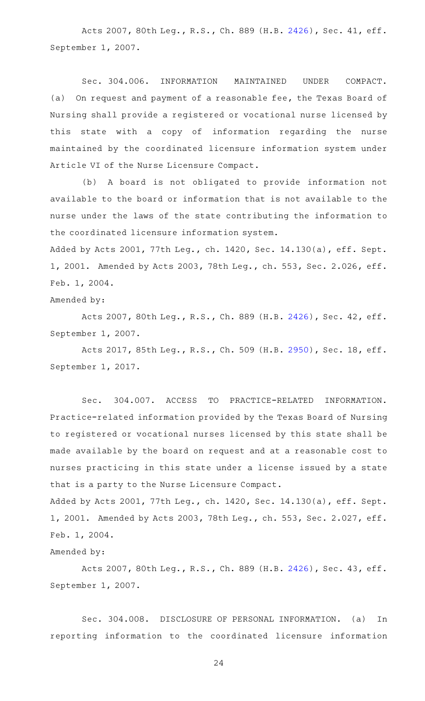Acts 2007, 80th Leg., R.S., Ch. 889 (H.B. [2426\)](http://www.legis.state.tx.us/tlodocs/80R/billtext/html/HB02426F.HTM), Sec. 41, eff. September 1, 2007.

Sec. 304.006. INFORMATION MAINTAINED UNDER COMPACT. (a) On request and payment of a reasonable fee, the Texas Board of Nursing shall provide a registered or vocational nurse licensed by this state with a copy of information regarding the nurse maintained by the coordinated licensure information system under Article VI of the Nurse Licensure Compact.

(b)AAA board is not obligated to provide information not available to the board or information that is not available to the nurse under the laws of the state contributing the information to the coordinated licensure information system.

Added by Acts 2001, 77th Leg., ch. 1420, Sec. 14.130(a), eff. Sept. 1, 2001. Amended by Acts 2003, 78th Leg., ch. 553, Sec. 2.026, eff. Feb. 1, 2004.

### Amended by:

Acts 2007, 80th Leg., R.S., Ch. 889 (H.B. [2426\)](http://www.legis.state.tx.us/tlodocs/80R/billtext/html/HB02426F.HTM), Sec. 42, eff. September 1, 2007.

Acts 2017, 85th Leg., R.S., Ch. 509 (H.B. [2950\)](http://www.legis.state.tx.us/tlodocs/85R/billtext/html/HB02950F.HTM), Sec. 18, eff. September 1, 2017.

Sec. 304.007. ACCESS TO PRACTICE-RELATED INFORMATION. Practice-related information provided by the Texas Board of Nursing to registered or vocational nurses licensed by this state shall be made available by the board on request and at a reasonable cost to nurses practicing in this state under a license issued by a state that is a party to the Nurse Licensure Compact.

Added by Acts 2001, 77th Leg., ch. 1420, Sec. 14.130(a), eff. Sept. 1, 2001. Amended by Acts 2003, 78th Leg., ch. 553, Sec. 2.027, eff. Feb. 1, 2004.

# Amended by:

Acts 2007, 80th Leg., R.S., Ch. 889 (H.B. [2426\)](http://www.legis.state.tx.us/tlodocs/80R/billtext/html/HB02426F.HTM), Sec. 43, eff. September 1, 2007.

Sec. 304.008. DISCLOSURE OF PERSONAL INFORMATION. (a) In reporting information to the coordinated licensure information